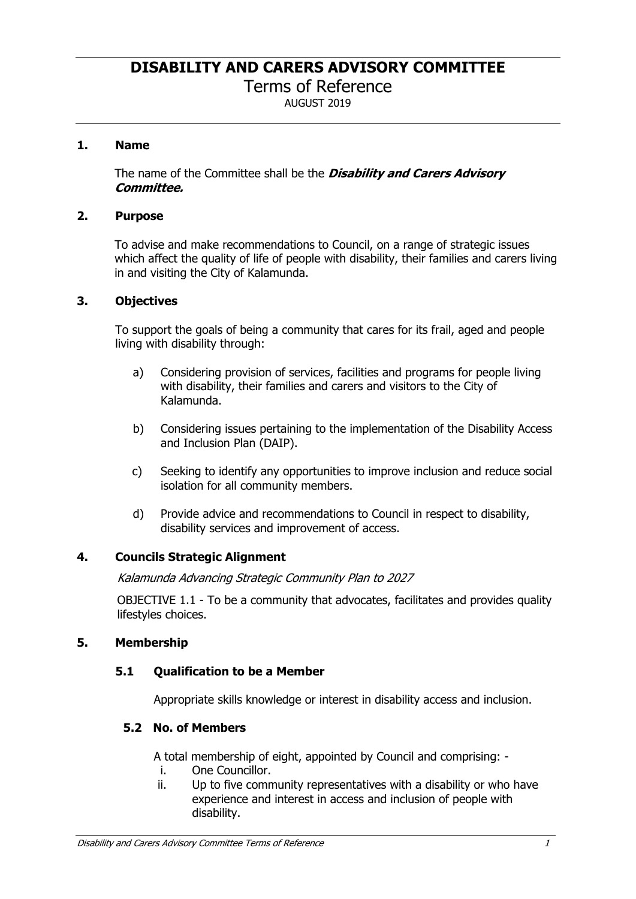**DISABILITY AND CARERS ADVISORY COMMITTEE**

Terms of Reference

AUGUST 2019

## **1. Name**

The name of the Committee shall be the *Disability and Carers Advisory Committee.*

#### **2. Purpose**

To advise and make recommendations to Council, on a range of strategic issues which affect the quality of life of people with disability, their families and carers living in and visiting the City of Kalamunda.

### **3. Objectives**

To support the goals of being a community that cares for its frail, aged and people living with disability through:

- a) Considering provision of services, facilities and programs for people living with disability, their families and carers and visitors to the City of Kalamunda.
- b) Considering issues pertaining to the implementation of the Disability Access and Inclusion Plan (DAIP).
- c) Seeking to identify any opportunities to improve inclusion and reduce social isolation for all community members.
- d) Provide advice and recommendations to Council in respect to disability, disability services and improvement of access.

#### **4. Councils Strategic Alignment**

*Kalamunda Advancing Strategic Community Plan to 2027* 

OBJECTIVE 1.1 - To be a community that advocates, facilitates and provides quality lifestyles choices.

#### **5. Membership**

#### **5.1 Qualification to be a Member**

Appropriate skills knowledge or interest in disability access and inclusion.

## **5.2 No. of Members**

A total membership of eight, appointed by Council and comprising: -

- i. One Councillor.
- ii. Up to five community representatives with a disability or who have experience and interest in access and inclusion of people with disability.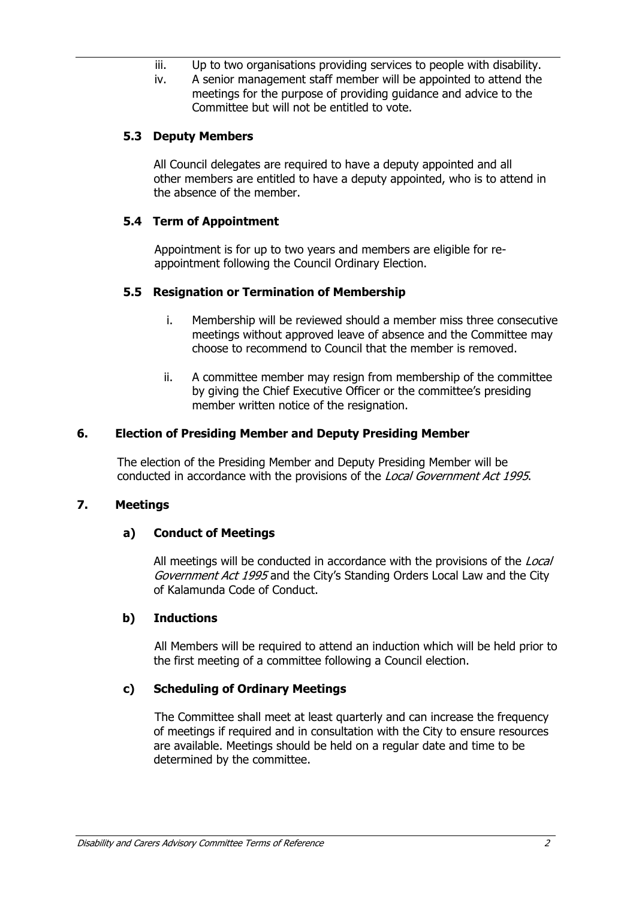- iii. Up to two organisations providing services to people with disability.
- iv. A senior management staff member will be appointed to attend the meetings for the purpose of providing guidance and advice to the Committee but will not be entitled to vote.

### **5.3 Deputy Members**

All Council delegates are required to have a deputy appointed and all other members are entitled to have a deputy appointed, who is to attend in the absence of the member.

### **5.4 Term of Appointment**

Appointment is for up to two years and members are eligible for reappointment following the Council Ordinary Election.

#### **5.5 Resignation or Termination of Membership**

- i. Membership will be reviewed should a member miss three consecutive meetings without approved leave of absence and the Committee may choose to recommend to Council that the member is removed.
- ii. A committee member may resign from membership of the committee by giving the Chief Executive Officer or the committee's presiding member written notice of the resignation.

#### **6. Election of Presiding Member and Deputy Presiding Member**

The election of the Presiding Member and Deputy Presiding Member will be conducted in accordance with the provisions of the *Local Government Act 1995*.

#### **7. Meetings**

#### **a) Conduct of Meetings**

All meetings will be conducted in accordance with the provisions of the *Local Government Act 1995* and the City's Standing Orders Local Law and the City of Kalamunda Code of Conduct.

#### **b) Inductions**

All Members will be required to attend an induction which will be held prior to the first meeting of a committee following a Council election.

#### **c) Scheduling of Ordinary Meetings**

The Committee shall meet at least quarterly and can increase the frequency of meetings if required and in consultation with the City to ensure resources are available. Meetings should be held on a regular date and time to be determined by the committee.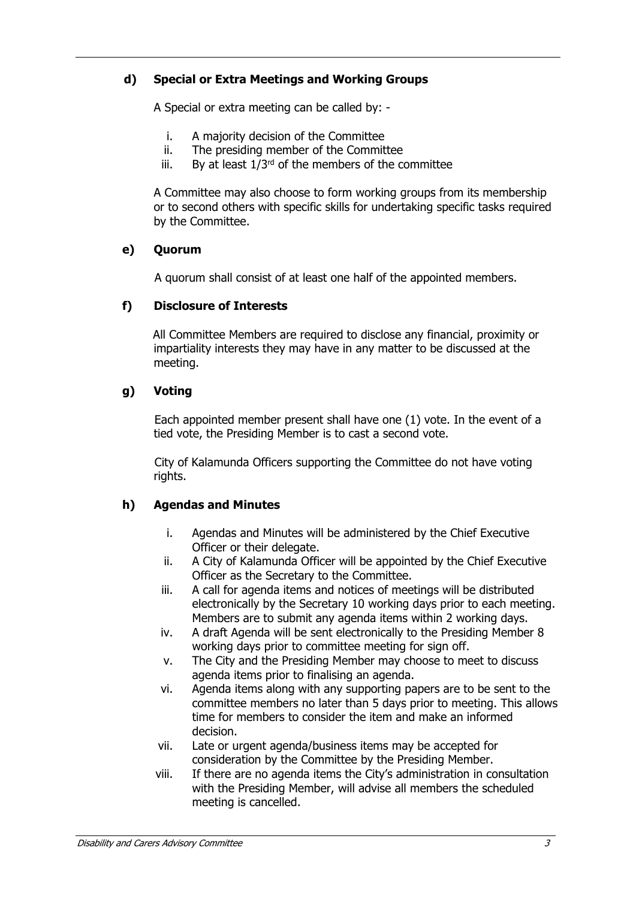# **d) Special or Extra Meetings and Working Groups**

A Special or extra meeting can be called by: -

- i. A majority decision of the Committee
- ii. The presiding member of the Committee
- iii. By at least  $1/3^{rd}$  of the members of the committee

A Committee may also choose to form working groups from its membership or to second others with specific skills for undertaking specific tasks required by the Committee.

## **e) Quorum**

A quorum shall consist of at least one half of the appointed members.

## **f) Disclosure of Interests**

All Committee Members are required to disclose any financial, proximity or impartiality interests they may have in any matter to be discussed at the meeting.

## **g) Voting**

Each appointed member present shall have one (1) vote. In the event of a tied vote, the Presiding Member is to cast a second vote.

City of Kalamunda Officers supporting the Committee do not have voting rights.

## **h) Agendas and Minutes**

- i. Agendas and Minutes will be administered by the Chief Executive Officer or their delegate.
- ii. A City of Kalamunda Officer will be appointed by the Chief Executive Officer as the Secretary to the Committee.
- iii. A call for agenda items and notices of meetings will be distributed electronically by the Secretary 10 working days prior to each meeting. Members are to submit any agenda items within 2 working days.
- iv. A draft Agenda will be sent electronically to the Presiding Member 8 working days prior to committee meeting for sign off.
- v. The City and the Presiding Member may choose to meet to discuss agenda items prior to finalising an agenda.
- vi. Agenda items along with any supporting papers are to be sent to the committee members no later than 5 days prior to meeting. This allows time for members to consider the item and make an informed decision.
- vii. Late or urgent agenda/business items may be accepted for consideration by the Committee by the Presiding Member.
- viii. If there are no agenda items the City's administration in consultation with the Presiding Member, will advise all members the scheduled meeting is cancelled.